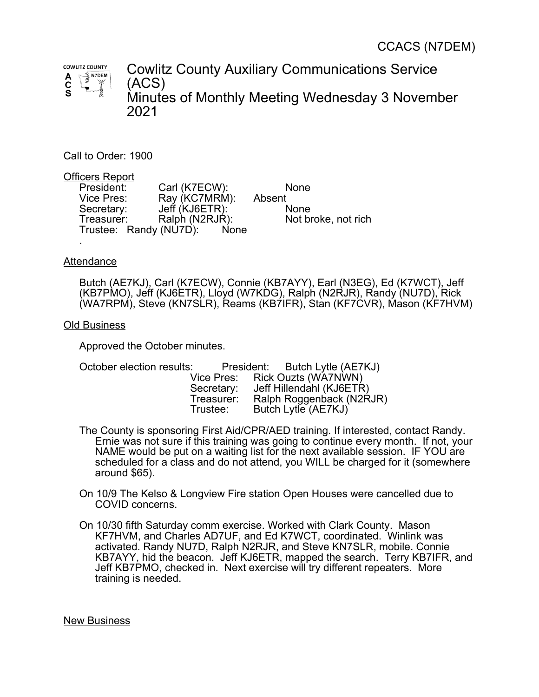

Cowlitz County Auxiliary Communications Service (ACS) Minutes of Monthly Meeting Wednesday 3 November 2021

Call to Order: 1900

Officers Report

President: Carl (K7ECW): None<br>Vice Pres: Ray (KC7MRM): Absent Ray (KC7MRM): Absent Secretary: Jeff (KJ6ETR): None Treasurer: Ralph (N2RJR): Not broke, not rich Trustee: Randy (NU7D): None .

## **Attendance**

Butch (AE7KJ), Carl (K7ECW), Connie (KB7AYY), Earl (N3EG), Ed (K7WCT), Jeff (KB7PMO), Jeff (KJ6ETR), Lloyd (W7KDG), Ralph (N2RJR), Randy (NU7D), Rick (WA7RPM), Steve (KN7SLR), Reams (KB7IFR), Stan (KF7CVR), Mason (KF7HVM)

## Old Business

Approved the October minutes.

| October election results: |            | President: Butch Lytle (AE7KJ) |
|---------------------------|------------|--------------------------------|
|                           |            | Vice Pres: Rick Ouzts (WA7NWN) |
|                           | Secretary: | Jeff Hillendahl (KJ6ETR)       |
|                           | Treasurer: | Ralph Roggenback (N2RJR)       |
|                           | Trustee:   | Butch Lytle (AE7KJ)            |
|                           |            |                                |

- The County is sponsoring First Aid/CPR/AED training. If interested, contact Randy. Ernie was not sure if this training was going to continue every month. If not, your NAME would be put on a waiting list for the next available session. IF YOU are scheduled for a class and do not attend, you WILL be charged for it (somewhere around \$65).
- On 10/9 The Kelso & Longview Fire station Open Houses were cancelled due to COVID concerns.
- On 10/30 fifth Saturday comm exercise. Worked with Clark County. Mason KF7HVM, and Charles AD7UF, and Ed K7WCT, coordinated. Winlink was activated. Randy NU7D, Ralph N2RJR, and Steve KN7SLR, mobile. Connie KB7AYY, hid the beacon. Jeff KJ6ETR, mapped the search. Terry KB7IFR, and Jeff KB7PMO, checked in. Next exercise will try different repeaters. More training is needed.

New Business